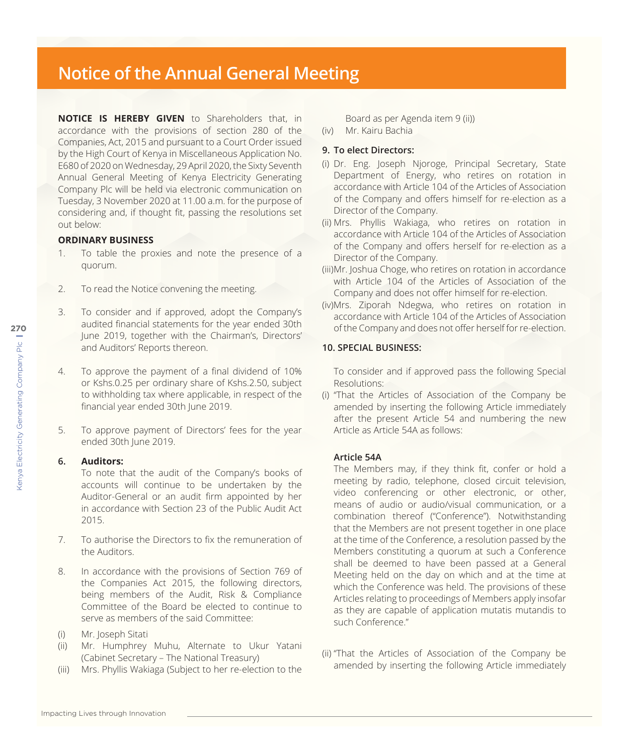# **Notice of the Annual General Meeting**

**NOTICE IS HEREBY GIVEN** to Shareholders that, in accordance with the provisions of section 280 of the Companies, Act, 2015 and pursuant to a Court Order issued by the High Court of Kenya in Miscellaneous Application No. E680 of 2020 on Wednesday, 29 April 2020, the Sixty Seventh Annual General Meeting of Kenya Electricity Generating Company Plc will be held via electronic communication on Tuesday, 3 November 2020 at 11.00 a.m. for the purpose of considering and, if thought fit, passing the resolutions set out below:

## **ORDINARY BUSINESS**

- 1. To table the proxies and note the presence of a quorum.
- 2. To read the Notice convening the meeting.
- 3. To consider and if approved, adopt the Company's audited financial statements for the year ended 30th June 2019, together with the Chairman's, Directors' and Auditors' Reports thereon.
- 4. To approve the payment of a final dividend of 10% or Kshs.0.25 per ordinary share of Kshs.2.50, subject to withholding tax where applicable, in respect of the financial year ended 30th June 2019.
- 5. To approve payment of Directors' fees for the year ended 30th June 2019.

#### **6. Auditors:**

To note that the audit of the Company's books of accounts will continue to be undertaken by the Auditor-General or an audit firm appointed by her in accordance with Section 23 of the Public Audit Act 2015.

- 7. To authorise the Directors to fix the remuneration of the Auditors.
- 8. In accordance with the provisions of Section 769 of the Companies Act 2015, the following directors, being members of the Audit, Risk & Compliance Committee of the Board be elected to continue to serve as members of the said Committee:
- (i) Mr. Joseph Sitati
- (ii) Mr. Humphrey Muhu, Alternate to Ukur Yatani (Cabinet Secretary – The National Treasury)
- (iii) Mrs. Phyllis Wakiaga (Subject to her re-election to the

Board as per Agenda item 9 (ii))

(iv) Mr. Kairu Bachia

## **9. To elect Directors:**

- (i) Dr. Eng. Joseph Njoroge, Principal Secretary, State Department of Energy, who retires on rotation in accordance with Article 104 of the Articles of Association of the Company and offers himself for re-election as a Director of the Company.
- (ii) Mrs. Phyllis Wakiaga, who retires on rotation in accordance with Article 104 of the Articles of Association of the Company and offers herself for re-election as a Director of the Company.
- (iii)Mr. Joshua Choge, who retires on rotation in accordance with Article 104 of the Articles of Association of the Company and does not offer himself for re-election.
- (iv)Mrs. Ziporah Ndegwa, who retires on rotation in accordance with Article 104 of the Articles of Association of the Company and does not offer herself for re-election.

## **10. SPECIAL BUSINESS:**

To consider and if approved pass the following Special Resolutions:

(i) "That the Articles of Association of the Company be amended by inserting the following Article immediately after the present Article 54 and numbering the new Article as Article 54A as follows:

## **Article 54A**

The Members may, if they think fit, confer or hold a meeting by radio, telephone, closed circuit television, video conferencing or other electronic, or other, means of audio or audio/visual communication, or a combination thereof ("Conference"). Notwithstanding that the Members are not present together in one place at the time of the Conference, a resolution passed by the Members constituting a quorum at such a Conference shall be deemed to have been passed at a General Meeting held on the day on which and at the time at which the Conference was held. The provisions of these Articles relating to proceedings of Members apply insofar as they are capable of application mutatis mutandis to such Conference"

(ii) "That the Articles of Association of the Company be amended by inserting the following Article immediately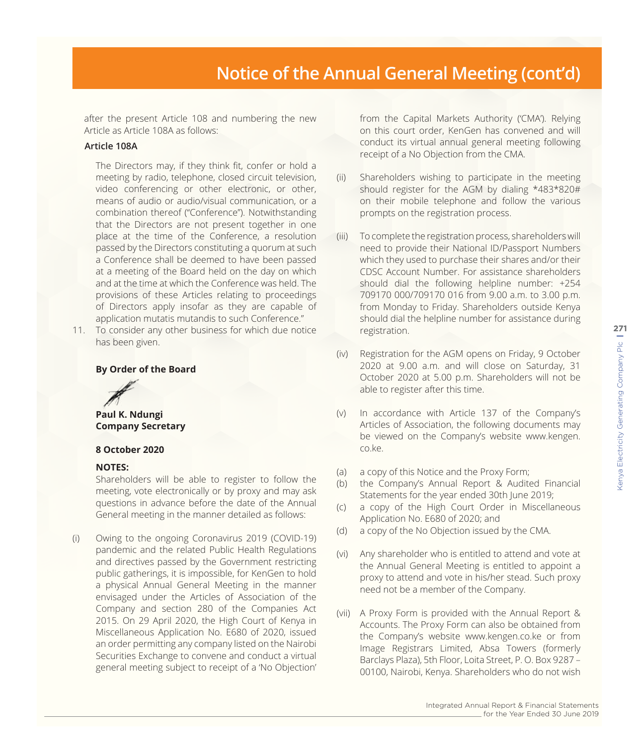after the present Article 108 and numbering the new Article as Article 108A as follows:

#### **Article 108A**

The Directors may, if they think fit, confer or hold a meeting by radio, telephone, closed circuit television, video conferencing or other electronic, or other, means of audio or audio/visual communication, or a combination thereof ("Conference"). Notwithstanding that the Directors are not present together in one place at the time of the Conference, a resolution passed by the Directors constituting a quorum at such a Conference shall be deemed to have been passed at a meeting of the Board held on the day on which and at the time at which the Conference was held. The provisions of these Articles relating to proceedings of Directors apply insofar as they are capable of application mutatis mutandis to such Conference."

11. To consider any other business for which due notice has been given.

#### **By Order of the Board**



**Paul K. Ndungi Company Secretary**

#### **8 October 2020**

## **NOTES:**

Shareholders will be able to register to follow the meeting, vote electronically or by proxy and may ask questions in advance before the date of the Annual General meeting in the manner detailed as follows:

(i) Owing to the ongoing Coronavirus 2019 (COVID-19) pandemic and the related Public Health Regulations and directives passed by the Government restricting public gatherings, it is impossible, for KenGen to hold a physical Annual General Meeting in the manner envisaged under the Articles of Association of the Company and section 280 of the Companies Act 2015. On 29 April 2020, the High Court of Kenya in Miscellaneous Application No. E680 of 2020, issued an order permitting any company listed on the Nairobi Securities Exchange to convene and conduct a virtual general meeting subject to receipt of a 'No Objection'

from the Capital Markets Authority ('CMA'). Relying on this court order, KenGen has convened and will conduct its virtual annual general meeting following receipt of a No Objection from the CMA.

- (ii) Shareholders wishing to participate in the meeting should register for the AGM by dialing \*483\*820# on their mobile telephone and follow the various prompts on the registration process.
- (iii) To complete the registration process, shareholders will need to provide their National ID/Passport Numbers which they used to purchase their shares and/or their CDSC Account Number. For assistance shareholders should dial the following helpline number: +254 709170 000/709170 016 from 9.00 a.m. to 3.00 p.m. from Monday to Friday. Shareholders outside Kenya should dial the helpline number for assistance during registration.
- (iv) Registration for the AGM opens on Friday, 9 October 2020 at 9.00 a.m. and will close on Saturday, 31 October 2020 at 5.00 p.m. Shareholders will not be able to register after this time.
- (v) In accordance with Article 137 of the Company's Articles of Association, the following documents may be viewed on the Company's website www.kengen. co.ke.
- (a) a copy of this Notice and the Proxy Form;
- (b) the Company's Annual Report & Audited Financial Statements for the year ended 30th June 2019;
- (c) a copy of the High Court Order in Miscellaneous Application No. E680 of 2020; and
- (d) a copy of the No Objection issued by the CMA.
- (vi) Any shareholder who is entitled to attend and vote at the Annual General Meeting is entitled to appoint a proxy to attend and vote in his/her stead. Such proxy need not be a member of the Company.
- (vii) A Proxy Form is provided with the Annual Report & Accounts. The Proxy Form can also be obtained from the Company's website www.kengen.co.ke or from Image Registrars Limited, Absa Towers (formerly Barclays Plaza), 5th Floor, Loita Street, P. O. Box 9287 – 00100, Nairobi, Kenya. Shareholders who do not wish